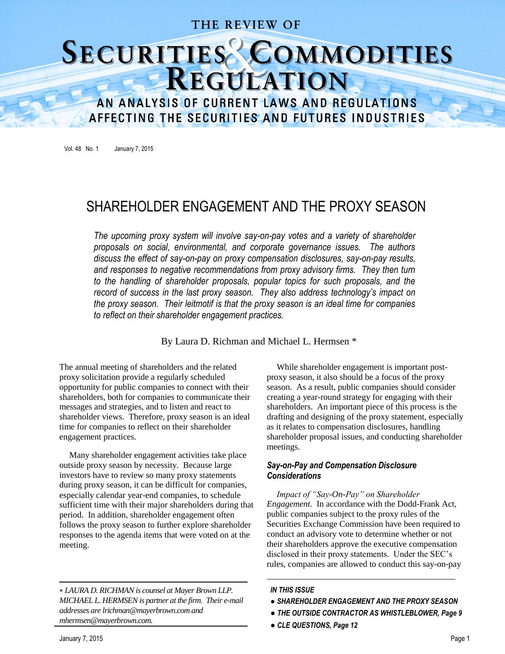### THE REVIEW OF

# SECURITIES COMMODITIES

AN ANALYSIS OF CURRENT LAWS AND REGULATIONS AFFECTING THE SECURITIES AND FUTURES INDUSTRIES

Vol. 48 No. 1 January 7, 2015

## SHAREHOLDER ENGAGEMENT AND THE PROXY SEASON

*The upcoming proxy system will involve say-on-pay votes and a variety of shareholder proposals on social, environmental, and corporate governance issues. The authors discuss the effect of say-on-pay on proxy compensation disclosures, say-on-pay results, and responses to negative recommendations from proxy advisory firms. They then turn to the handling of shareholder proposals, popular topics for such proposals, and the record of success in the last proxy season. They also address technology's impact on the proxy season. Their leitmotif is that the proxy season is an ideal time for companies to reflect on their shareholder engagement practices.* 

#### By Laura D. Richman and Michael L. Hermsen \*

The annual meeting of shareholders and the related proxy solicitation provide a regularly scheduled opportunity for public companies to connect with their shareholders, both for companies to communicate their messages and strategies, and to listen and react to shareholder views. Therefore, proxy season is an ideal time for companies to reflect on their shareholder engagement practices.

Many shareholder engagement activities take place outside proxy season by necessity. Because large investors have to review so many proxy statements during proxy season, it can be difficult for companies, especially calendar year-end companies, to schedule sufficient time with their major shareholders during that period. In addition, shareholder engagement often follows the proxy season to further explore shareholder responses to the agenda items that were voted on at the meeting.

 *LAURA D. RICHMAN is counsel at Mayer Brown LLP. MICHAEL L. HERMSEN is partner at the firm. Their e-mail addresses are lrichman@mayerbrown.com and mhermsen@mayerbrown.com.*

While shareholder engagement is important postproxy season, it also should be a focus of the proxy season. As a result, public companies should consider creating a year-round strategy for engaging with their shareholders. An important piece of this process is the drafting and designing of the proxy statement, especially as it relates to compensation disclosures, handling shareholder proposal issues, and conducting shareholder meetings.

#### *Say-on-Pay and Compensation Disclosure Considerations*

*Impact of "Say-On-Pay" on Shareholder Engagement.* In accordance with the Dodd-Frank Act, public companies subject to the proxy rules of the Securities Exchange Commission have been required to conduct an advisory vote to determine whether or not their shareholders approve the executive compensation disclosed in their proxy statements. Under the SEC's rules, companies are allowed to conduct this say-on-pay

#### *IN THIS ISSUE*

- *SHAREHOLDER ENGAGEMENT AND THE PROXY SEASON*
- *THE OUTSIDE CONTRACTOR AS WHISTLEBLOWER, Page 9*
- *CLE QUESTIONS, Page 12*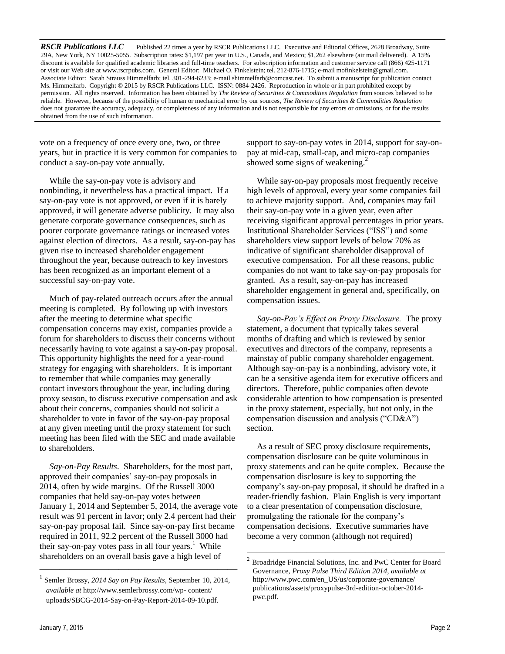*RSCR Publications LLC* Published 22 times a year by RSCR Publications LLC. Executive and Editorial Offices, 2628 Broadway, Suite 29A, New York, NY 10025-5055. Subscription rates: \$1,197 per year in U.S., Canada, and Mexico; \$1,262 elsewhere (air mail delivered). A 15% discount is available for qualified academic libraries and full-time teachers. For subscription information and customer service call (866) 425-1171 or visit our Web site a[t www.rscrpubs.com.](http://www.rscrpubs.com/) General Editor: Michael O. Finkelstein; tel. 212-876-1715; e-mail mofinkelstein@gmail.com. Associate Editor: Sarah Strauss Himmelfarb; tel. 301-294-6233; e-mail shimmelfarb@comcast.net. To submit a manuscript for publication contact Ms. Himmelfarb. Copyright © 2015 by RSCR Publications LLC. ISSN: 0884-2426. Reproduction in whole or in part prohibited except by permission. All rights reserved. Information has been obtained by *The Review of Securities & Commodities Regulation* from sources believed to be reliable. However, because of the possibility of human or mechanical error by our sources, *The Review of Securities & Commodities Regulation*  does not guarantee the accuracy, adequacy, or completeness of any information and is not responsible for any errors or omissions, or for the results obtained from the use of such information.

vote on a frequency of once every one, two, or three years, but in practice it is very common for companies to conduct a say-on-pay vote annually.

While the say-on-pay vote is advisory and nonbinding, it nevertheless has a practical impact. If a say-on-pay vote is not approved, or even if it is barely approved, it will generate adverse publicity. It may also generate corporate governance consequences, such as poorer corporate governance ratings or increased votes against election of directors.As a result, say-on-pay has given rise to increased shareholder engagement throughout the year, because outreach to key investors has been recognized as an important element of a successful say-on-pay vote.

Much of pay-related outreach occurs after the annual meeting is completed. By following up with investors after the meeting to determine what specific compensation concerns may exist, companies provide a forum for shareholders to discuss their concerns without necessarily having to vote against a say-on-pay proposal. This opportunity highlights the need for a year-round strategy for engaging with shareholders. It is important to remember that while companies may generally contact investors throughout the year, including during proxy season, to discuss executive compensation and ask about their concerns, companies should not solicit a shareholder to vote in favor of the say-on-pay proposal at any given meeting until the proxy statement for such meeting has been filed with the SEC and made available to shareholders.

*Say-on-Pay Results*. Shareholders, for the most part, approved their companies' say-on-pay proposals in 2014, often by wide margins. Of the Russell 3000 companies that held say-on-pay votes between January 1, 2014 and September 5, 2014, the average vote result was 91 percent in favor; only 2.4 percent had their say-on-pay proposal fail.Since say-on-pay first became required in 2011, 92.2 percent of the Russell 3000 had their say-on-pay votes pass in all four years.<sup>1</sup> While shareholders on an overall basis gave a high level of

————————————————————

support to say-on-pay votes in 2014, support for say-onpay at mid-cap, small-cap, and micro-cap companies showed some signs of weakening.<sup>2</sup>

While say-on-pay proposals most frequently receive high levels of approval, every year some companies fail to achieve majority support. And, companies may fail their say-on-pay vote in a given year, even after receiving significant approval percentages in prior years. Institutional Shareholder Services ("ISS") and some shareholders view support levels of below 70% as indicative of significant shareholder disapproval of executive compensation. For all these reasons, public companies do not want to take say-on-pay proposals for granted. As a result, say-on-pay has increased shareholder engagement in general and, specifically, on compensation issues.

*Say-on-Pay's Effect on Proxy Disclosure.* The proxy statement, a document that typically takes several months of drafting and which is reviewed by senior executives and directors of the company, represents a mainstay of public company shareholder engagement. Although say-on-pay is a nonbinding, advisory vote, it can be a sensitive agenda item for executive officers and directors. Therefore, public companies often devote considerable attention to how compensation is presented in the proxy statement, especially, but not only, in the compensation discussion and analysis ("CD&A") section.

As a result of SEC proxy disclosure requirements, compensation disclosure can be quite voluminous in proxy statements and can be quite complex. Because the compensation disclosure is key to supporting the company's say-on-pay proposal, it should be drafted in a reader-friendly fashion. Plain English is very important to a clear presentation of compensation disclosure, promulgating the rationale for the company's compensation decisions. Executive summaries have become a very common (although not required)

<sup>1</sup> Semler Brossy, *2014 Say on Pay Results*, September 10, 2014, *available at* [http://www.semlerbrossy.com/wp-](http://www.semlerbrossy.com/wp-%20content/) content/ uploads/SBCG-2014-Say-on-Pay-Report-2014-09-10.pdf.

<sup>————————————————————</sup> <sup>2</sup> Broadridge Financial Solutions, Inc. and PwC Center for Board Governance, *Proxy Pulse Third Edition 2014*, *available at* [http://www.pwc.com/en\\_US/us/corporate-governance/](http://www.pwc.com/en_US/us/corporate-governance/) publications/assets/proxypulse-3rd-edition-october-2014 pwc.pdf.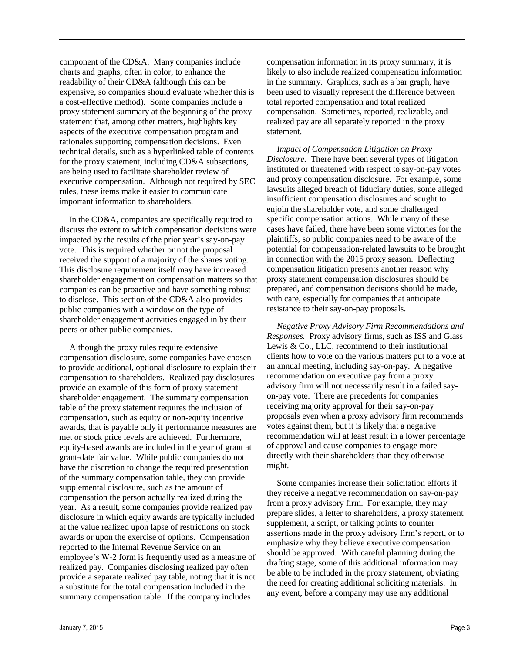component of the CD&A.Many companies include charts and graphs, often in color, to enhance the readability of their CD&A (although this can be expensive, so companies should evaluate whether this is a cost-effective method). Some companies include a proxy statement summary at the beginning of the proxy statement that, among other matters, highlights key aspects of the executive compensation program and rationales supporting compensation decisions. Even technical details, such as a hyperlinked table of contents for the proxy statement, including CD&A subsections, are being used to facilitate shareholder review of executive compensation. Although not required by SEC rules, these items make it easier to communicate important information to shareholders.

In the CD&A, companies are specifically required to discuss the extent to which compensation decisions were impacted by the results of the prior year's say-on-pay vote. This is required whether or not the proposal received the support of a majority of the shares voting. This disclosure requirement itself may have increased shareholder engagement on compensation matters so that companies can be proactive and have something robust to disclose. This section of the CD&A also provides public companies with a window on the type of shareholder engagement activities engaged in by their peers or other public companies.

Although the proxy rules require extensive compensation disclosure, some companies have chosen to provide additional, optional disclosure to explain their compensation to shareholders. Realized pay disclosures provide an example of this form of proxy statement shareholder engagement. The summary compensation table of the proxy statement requires the inclusion of compensation, such as equity or non-equity incentive awards, that is payable only if performance measures are met or stock price levels are achieved. Furthermore, equity-based awards are included in the year of grant at grant-date fair value. While public companies do not have the discretion to change the required presentation of the summary compensation table, they can provide supplemental disclosure, such as the amount of compensation the person actually realized during the year. As a result, some companies provide realized pay disclosure in which equity awards are typically included at the value realized upon lapse of restrictions on stock awards or upon the exercise of options. Compensation reported to the Internal Revenue Service on an employee's W-2 form is frequently used as a measure of realized pay. Companies disclosing realized pay often provide a separate realized pay table, noting that it is not a substitute for the total compensation included in the summary compensation table. If the company includes

compensation information in its proxy summary, it is likely to also include realized compensation information in the summary. Graphics, such as a bar graph, have been used to visually represent the difference between total reported compensation and total realized compensation. Sometimes, reported, realizable, and realized pay are all separately reported in the proxy statement.

*Impact of Compensation Litigation on Proxy Disclosure.* There have been several types of litigation instituted or threatened with respect to say-on-pay votes and proxy compensation disclosure. For example, some lawsuits alleged breach of fiduciary duties, some alleged insufficient compensation disclosures and sought to enjoin the shareholder vote, and some challenged specific compensation actions. While many of these cases have failed, there have been some victories for the plaintiffs, so public companies need to be aware of the potential for compensation-related lawsuits to be brought in connection with the 2015 proxy season. Deflecting compensation litigation presents another reason why proxy statement compensation disclosures should be prepared, and compensation decisions should be made, with care, especially for companies that anticipate resistance to their say-on-pay proposals.

*Negative Proxy Advisory Firm Recommendations and Responses.* Proxy advisory firms, such as ISS and Glass Lewis & Co., LLC, recommend to their institutional clients how to vote on the various matters put to a vote at an annual meeting, including say-on-pay. A negative recommendation on executive pay from a proxy advisory firm will not necessarily result in a failed sayon-pay vote. There are precedents for companies receiving majority approval for their say-on-pay proposals even when a proxy advisory firm recommends votes against them, but it is likely that a negative recommendation will at least result in a lower percentage of approval and cause companies to engage more directly with their shareholders than they otherwise might.

Some companies increase their solicitation efforts if they receive a negative recommendation on say-on-pay from a proxy advisory firm. For example, they may prepare slides, a letter to shareholders, a proxy statement supplement, a script, or talking points to counter assertions made in the proxy advisory firm's report, or to emphasize why they believe executive compensation should be approved. With careful planning during the drafting stage, some of this additional information may be able to be included in the proxy statement, obviating the need for creating additional soliciting materials. In any event, before a company may use any additional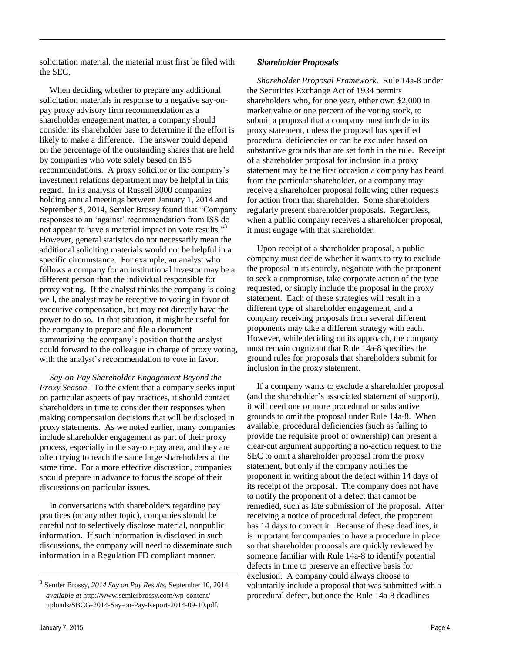solicitation material, the material must first be filed with the SEC.

When deciding whether to prepare any additional solicitation materials in response to a negative say-onpay proxy advisory firm recommendation as a shareholder engagement matter, a company should consider its shareholder base to determine if the effort is likely to make a difference. The answer could depend on the percentage of the outstanding shares that are held by companies who vote solely based on ISS recommendations. A proxy solicitor or the company's investment relations department may be helpful in this regard. In its analysis of Russell 3000 companies holding annual meetings between January 1, 2014 and September 5, 2014, Semler Brossy found that "Company responses to an 'against' recommendation from ISS do not appear to have a material impact on vote results."<sup>3</sup> However, general statistics do not necessarily mean the additional soliciting materials would not be helpful in a specific circumstance. For example, an analyst who follows a company for an institutional investor may be a different person than the individual responsible for proxy voting. If the analyst thinks the company is doing well, the analyst may be receptive to voting in favor of executive compensation, but may not directly have the power to do so. In that situation, it might be useful for the company to prepare and file a document summarizing the company's position that the analyst could forward to the colleague in charge of proxy voting, with the analyst's recommendation to vote in favor.

*Say-on-Pay Shareholder Engagement Beyond the Proxy Season.* To the extent that a company seeks input on particular aspects of pay practices, it should contact shareholders in time to consider their responses when making compensation decisions that will be disclosed in proxy statements. As we noted earlier, many companies include shareholder engagement as part of their proxy process, especially in the say-on-pay area, and they are often trying to reach the same large shareholders at the same time. For a more effective discussion, companies should prepare in advance to focus the scope of their discussions on particular issues.

In conversations with shareholders regarding pay practices (or any other topic), companies should be careful not to selectively disclose material, nonpublic information. If such information is disclosed in such discussions, the company will need to disseminate such information in a Regulation FD compliant manner.

————————————————————

*Shareholder Proposal Framework*. Rule 14a-8 under the Securities Exchange Act of 1934 permits shareholders who, for one year, either own \$2,000 in market value or one percent of the voting stock, to submit a proposal that a company must include in its proxy statement, unless the proposal has specified procedural deficiencies or can be excluded based on substantive grounds that are set forth in the rule. Receipt of a shareholder proposal for inclusion in a proxy statement may be the first occasion a company has heard from the particular shareholder, or a company may receive a shareholder proposal following other requests for action from that shareholder. Some shareholders regularly present shareholder proposals. Regardless, when a public company receives a shareholder proposal, it must engage with that shareholder.

Upon receipt of a shareholder proposal, a public company must decide whether it wants to try to exclude the proposal in its entirely, negotiate with the proponent to seek a compromise, take corporate action of the type requested, or simply include the proposal in the proxy statement. Each of these strategies will result in a different type of shareholder engagement, and a company receiving proposals from several different proponents may take a different strategy with each. However, while deciding on its approach, the company must remain cognizant that Rule 14a-8 specifies the ground rules for proposals that shareholders submit for inclusion in the proxy statement.

If a company wants to exclude a shareholder proposal (and the shareholder's associated statement of support), it will need one or more procedural or substantive grounds to omit the proposal under Rule 14a-8. When available, procedural deficiencies (such as failing to provide the requisite proof of ownership) can present a clear-cut argument supporting a no-action request to the SEC to omit a shareholder proposal from the proxy statement, but only if the company notifies the proponent in writing about the defect within 14 days of its receipt of the proposal. The company does not have to notify the proponent of a defect that cannot be remedied, such as late submission of the proposal. After receiving a notice of procedural defect, the proponent has 14 days to correct it. Because of these deadlines, it is important for companies to have a procedure in place so that shareholder proposals are quickly reviewed by someone familiar with Rule 14a-8 to identify potential defects in time to preserve an effective basis for exclusion. A company could always choose to voluntarily include a proposal that was submitted with a procedural defect, but once the Rule 14a-8 deadlines

<sup>3</sup> Semler Brossy, *2014 Say on Pay Results*, September 10, 2014, *available at* <http://www.semlerbrossy.com/wp-content/> uploads/SBCG-2014-Say-on-Pay-Report-2014-09-10.pdf.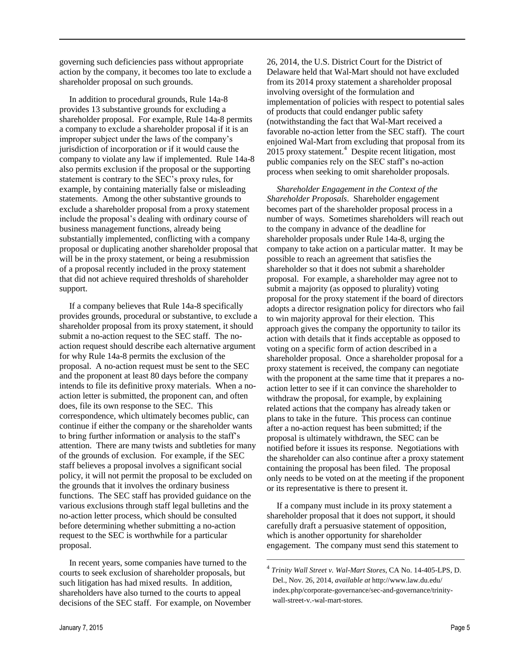governing such deficiencies pass without appropriate action by the company, it becomes too late to exclude a shareholder proposal on such grounds.

In addition to procedural grounds, Rule 14a-8 provides 13 substantive grounds for excluding a shareholder proposal. For example, Rule 14a-8 permits a company to exclude a shareholder proposal if it is an improper subject under the laws of the company's jurisdiction of incorporation or if it would cause the company to violate any law if implemented. Rule 14a-8 also permits exclusion if the proposal or the supporting statement is contrary to the SEC's proxy rules, for example, by containing materially false or misleading statements. Among the other substantive grounds to exclude a shareholder proposal from a proxy statement include the proposal's dealing with ordinary course of business management functions, already being substantially implemented, conflicting with a company proposal or duplicating another shareholder proposal that will be in the proxy statement, or being a resubmission of a proposal recently included in the proxy statement that did not achieve required thresholds of shareholder support.

If a company believes that Rule 14a-8 specifically provides grounds, procedural or substantive, to exclude a shareholder proposal from its proxy statement, it should submit a no-action request to the SEC staff. The noaction request should describe each alternative argument for why Rule 14a-8 permits the exclusion of the proposal. A no-action request must be sent to the SEC and the proponent at least 80 days before the company intends to file its definitive proxy materials. When a noaction letter is submitted, the proponent can, and often does, file its own response to the SEC. This correspondence, which ultimately becomes public, can continue if either the company or the shareholder wants to bring further information or analysis to the staff's attention. There are many twists and subtleties for many of the grounds of exclusion. For example, if the SEC staff believes a proposal involves a significant social policy, it will not permit the proposal to be excluded on the grounds that it involves the ordinary business functions. The SEC staff has provided guidance on the various exclusions through staff legal bulletins and the no-action letter process, which should be consulted before determining whether submitting a no-action request to the SEC is worthwhile for a particular proposal.

In recent years, some companies have turned to the courts to seek exclusion of shareholder proposals, but such litigation has had mixed results. In addition, shareholders have also turned to the courts to appeal decisions of the SEC staff. For example, on November

26, 2014, the U.S. District Court for the District of Delaware held that Wal-Mart should not have excluded from its 2014 proxy statement a shareholder proposal involving oversight of the formulation and implementation of policies with respect to potential sales of products that could endanger public safety (notwithstanding the fact that Wal-Mart received a favorable no-action letter from the SEC staff). The court enjoined Wal-Mart from excluding that proposal from its  $2015$  proxy statement.<sup>4</sup> Despite recent litigation, most public companies rely on the SEC staff's no-action process when seeking to omit shareholder proposals.

*Shareholder Engagement in the Context of the Shareholder Proposals*. Shareholder engagement becomes part of the shareholder proposal process in a number of ways. Sometimes shareholders will reach out to the company in advance of the deadline for shareholder proposals under Rule 14a-8, urging the company to take action on a particular matter. It may be possible to reach an agreement that satisfies the shareholder so that it does not submit a shareholder proposal. For example, a shareholder may agree not to submit a majority (as opposed to plurality) voting proposal for the proxy statement if the board of directors adopts a director resignation policy for directors who fail to win majority approval for their election. This approach gives the company the opportunity to tailor its action with details that it finds acceptable as opposed to voting on a specific form of action described in a shareholder proposal. Once a shareholder proposal for a proxy statement is received, the company can negotiate with the proponent at the same time that it prepares a noaction letter to see if it can convince the shareholder to withdraw the proposal, for example, by explaining related actions that the company has already taken or plans to take in the future. This process can continue after a no-action request has been submitted; if the proposal is ultimately withdrawn, the SEC can be notified before it issues its response. Negotiations with the shareholder can also continue after a proxy statement containing the proposal has been filed. The proposal only needs to be voted on at the meeting if the proponent or its representative is there to present it.

If a company must include in its proxy statement a shareholder proposal that it does not support, it should carefully draft a persuasive statement of opposition, which is another opportunity for shareholder engagement. The company must send this statement to

————————————————————

<sup>4</sup> *[Trinity Wall Street v. Wal-Mart Stores](http://www.law.du.edu/documents/corporate-governance/sec-and-governance/trinity/Opinion-Trinity-Wall-Street-v-Wal-Mart-Stores-CA-No-14-405-LPS-D-Del-Nov-26-2014.pdf)*, CA No. 14-405-LPS, D. [Del., Nov. 26, 2014,](http://www.law.du.edu/documents/corporate-governance/sec-and-governance/trinity/Opinion-Trinity-Wall-Street-v-Wal-Mart-Stores-CA-No-14-405-LPS-D-Del-Nov-26-2014.pdf) *available at* [http://www.law.du.edu/](http://www.law.du.edu/%20index.php/corporate-governance/sec-and-governance/trinity-wall-street-v.-wal-mart-stores)  [index.php/corporate-governance/sec-and-governance/trinity](http://www.law.du.edu/%20index.php/corporate-governance/sec-and-governance/trinity-wall-street-v.-wal-mart-stores)[wall-street-v.-wal-mart-stores.](http://www.law.du.edu/%20index.php/corporate-governance/sec-and-governance/trinity-wall-street-v.-wal-mart-stores)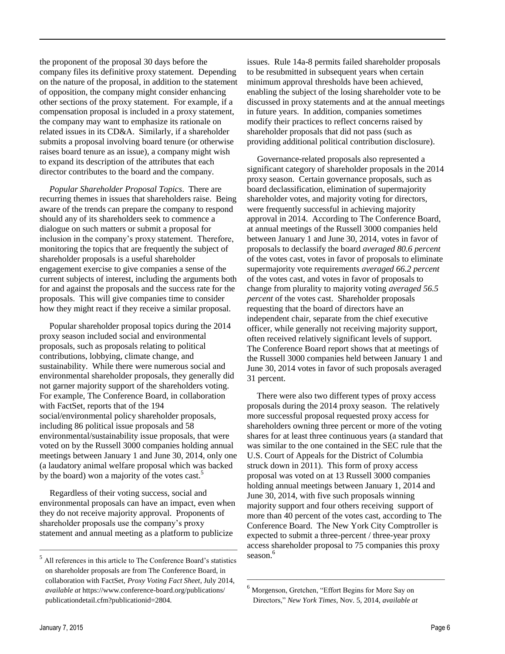the proponent of the proposal 30 days before the company files its definitive proxy statement. Depending on the nature of the proposal, in addition to the statement of opposition, the company might consider enhancing other sections of the proxy statement. For example, if a compensation proposal is included in a proxy statement, the company may want to emphasize its rationale on related issues in its CD&A. Similarly, if a shareholder submits a proposal involving board tenure (or otherwise raises board tenure as an issue), a company might wish to expand its description of the attributes that each director contributes to the board and the company.

*Popular Shareholder Proposal Topics*. There are recurring themes in issues that shareholders raise. Being aware of the trends can prepare the company to respond should any of its shareholders seek to commence a dialogue on such matters or submit a proposal for inclusion in the company's proxy statement. Therefore, monitoring the topics that are frequently the subject of shareholder proposals is a useful shareholder engagement exercise to give companies a sense of the current subjects of interest, including the arguments both for and against the proposals and the success rate for the proposals. This will give companies time to consider how they might react if they receive a similar proposal.

Popular shareholder proposal topics during the 2014 proxy season included social and environmental proposals, such as proposals relating to political contributions, lobbying, climate change, and sustainability. While there were numerous social and environmental shareholder proposals, they generally did not garner majority support of the shareholders voting. For example, The Conference Board, in collaboration with FactSet, reports that of the 194 social/environmental policy shareholder proposals, including 86 political issue proposals and 58 environmental/sustainability issue proposals, that were voted on by the Russell 3000 companies holding annual meetings between January 1 and June 30, 2014, only one (a laudatory animal welfare proposal which was backed by the board) won a majority of the votes cast.<sup>5</sup>

Regardless of their voting success, social and environmental proposals can have an impact, even when they do not receive majority approval. Proponents of shareholder proposals use the company's proxy statement and annual meeting as a platform to publicize

————————————————————

issues.Rule 14a-8 permits failed shareholder proposals to be resubmitted in subsequent years when certain minimum approval thresholds have been achieved, enabling the subject of the losing shareholder vote to be discussed in proxy statements and at the annual meetings in future years. In addition, companies sometimes modify their practices to reflect concerns raised by shareholder proposals that did not pass (such as providing additional political contribution disclosure).

Governance-related proposals also represented a significant category of shareholder proposals in the 2014 proxy season. Certain governance proposals, such as board declassification, elimination of supermajority shareholder votes, and majority voting for directors, were frequently successful in achieving majority approval in 2014. According to The Conference Board, at annual meetings of the Russell 3000 companies held between January 1 and June 30, 2014, votes in favor of proposals to declassify the board *averaged 80.6 percent* of the votes cast, votes in favor of proposals to eliminate supermajority vote requirements *averaged 66.2 percent* of the votes cast, and votes in favor of proposals to change from plurality to majority voting *averaged 56.5 percent* of the votes cast. Shareholder proposals requesting that the board of directors have an independent chair, separate from the chief executive officer, while generally not receiving majority support, often received relatively significant levels of support. The Conference Board report shows that at meetings of the Russell 3000 companies held between January 1 and June 30, 2014 votes in favor of such proposals averaged 31 percent.

There were also two different types of proxy access proposals during the 2014 proxy season. The relatively more successful proposal requested proxy access for shareholders owning three percent or more of the voting shares for at least three continuous years (a standard that was similar to the one contained in the SEC rule that the U.S. Court of Appeals for the District of Columbia struck down in 2011). This form of proxy access proposal was voted on at 13 Russell 3000 companies holding annual meetings between January 1, 2014 and June 30, 2014, with five such proposals winning majority support and four others receiving support of more than 40 percent of the votes cast, according to The Conference Board. The New York City Comptroller is expected to submit a three-percent / three-year proxy access shareholder proposal to 75 companies this proxy season. 6

————————————————————

 $<sup>5</sup>$  All references in this article to The Conference Board's statistics</sup> on shareholder proposals are from The Conference Board, in collaboration with FactSet, *Proxy Voting Fact Sheet*, July 2014, *available at* <https://www.conference-board.org/publications/> publicationdetail.cfm?publicationid=2804.

<sup>6</sup> Morgenson, Gretchen, "Effort Begins for More Say on Directors," *New York Times*, Nov. 5, 2014, *available at*